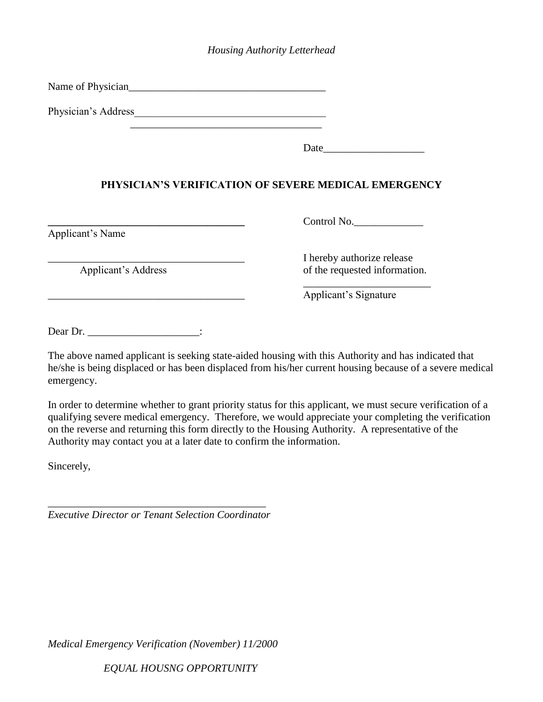## *Housing Authority Letterhead*

Name of Physician\_\_\_\_\_\_\_\_\_\_\_\_\_\_\_\_\_\_\_\_\_\_\_\_\_\_\_\_\_\_\_\_\_\_\_\_\_

Physician's Address\_\_\_\_\_\_\_\_\_\_\_\_\_\_\_\_\_\_\_\_\_\_\_\_\_\_\_\_\_\_\_\_\_\_\_\_

Date  $\Box$ 

## **PHYSICIAN'S VERIFICATION OF SEVERE MEDICAL EMERGENCY**

Applicant's Name

**\_\_\_\_\_\_\_\_\_\_\_\_\_\_\_\_\_\_\_\_\_\_\_\_\_\_\_\_\_\_\_\_\_\_\_\_\_** Control No.\_\_\_\_\_\_\_\_\_\_\_\_\_

I hereby authorize release Applicant's Address of the requested information.

\_\_\_\_\_\_\_\_\_\_\_\_\_\_\_\_\_\_\_\_\_\_\_\_

\_\_\_\_\_\_\_\_\_\_\_\_\_\_\_\_\_\_\_\_\_\_\_\_\_\_\_\_\_\_\_\_\_\_\_\_\_ Applicant's Signature

Dear Dr. \_\_\_\_\_\_\_\_\_\_\_\_\_\_\_\_\_\_\_\_\_\_\_\_:

The above named applicant is seeking state-aided housing with this Authority and has indicated that he/she is being displaced or has been displaced from his/her current housing because of a severe medical emergency.

In order to determine whether to grant priority status for this applicant, we must secure verification of a qualifying severe medical emergency. Therefore, we would appreciate your completing the verification on the reverse and returning this form directly to the Housing Authority. A representative of the Authority may contact you at a later date to confirm the information.

Sincerely,

\_\_\_\_\_\_\_\_\_\_\_\_\_\_\_\_\_\_\_\_\_\_\_\_\_\_\_\_\_\_\_\_\_\_\_\_\_\_\_\_\_ *Executive Director or Tenant Selection Coordinator*

*Medical Emergency Verification (November) 11/2000*